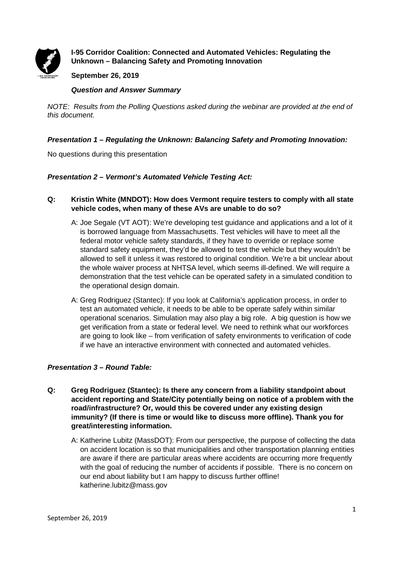

**I-95 Corridor Coalition: Connected and Automated Vehicles: Regulating the Unknown – Balancing Safety and Promoting Innovation**

### **September 26, 2019**

### *Question and Answer Summary*

*NOTE: Results from the Polling Questions asked during the webinar are provided at the end of this document.*

### *Presentation 1 – Regulating the Unknown: Balancing Safety and Promoting Innovation:*

No questions during this presentation

#### *Presentation 2 – Vermont's Automated Vehicle Testing Act:*

- **Q: Kristin White (MNDOT): How does Vermont require testers to comply with all state vehicle codes, when many of these AVs are unable to do so?**
	- A: Joe Segale (VT AOT): We're developing test guidance and applications and a lot of it is borrowed language from Massachusetts. Test vehicles will have to meet all the federal motor vehicle safety standards, if they have to override or replace some standard safety equipment, they'd be allowed to test the vehicle but they wouldn't be allowed to sell it unless it was restored to original condition. We're a bit unclear about the whole waiver process at NHTSA level, which seems ill-defined. We will require a demonstration that the test vehicle can be operated safety in a simulated condition to the operational design domain.
	- A: Greg Rodriguez (Stantec): If you look at California's application process, in order to test an automated vehicle, it needs to be able to be operate safely within similar operational scenarios. Simulation may also play a big role. A big question is how we get verification from a state or federal level. We need to rethink what our workforces are going to look like – from verification of safety environments to verification of code if we have an interactive environment with connected and automated vehicles.

## *Presentation 3 – Round Table:*

- **Q: Greg Rodriguez (Stantec): Is there any concern from a liability standpoint about accident reporting and State/City potentially being on notice of a problem with the road/infrastructure? Or, would this be covered under any existing design immunity? (If there is time or would like to discuss more offline). Thank you for great/interesting information.**
	- A: Katherine Lubitz (MassDOT): From our perspective, the purpose of collecting the data on accident location is so that municipalities and other transportation planning entities are aware if there are particular areas where accidents are occurring more frequently with the goal of reducing the number of accidents if possible. There is no concern on our end about liability but I am happy to discuss further offline! katherine.lubitz@mass.gov